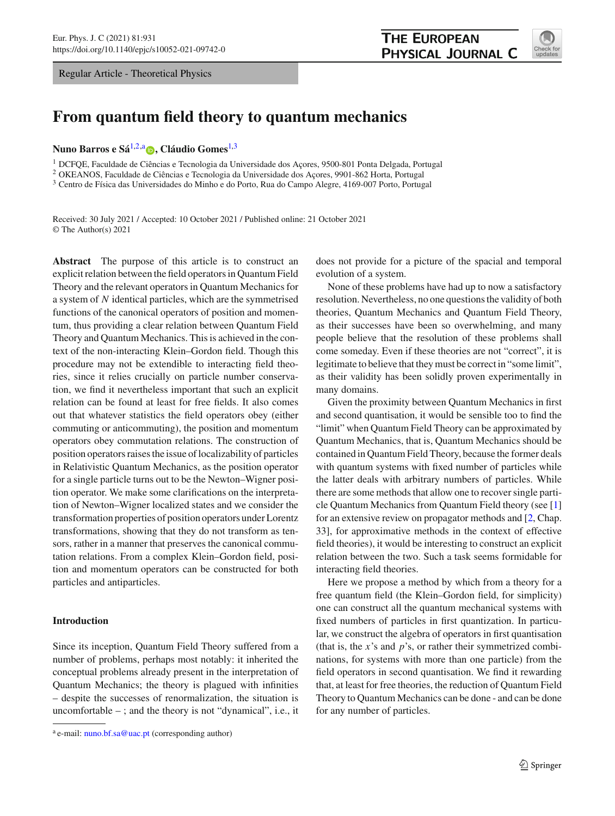Regular Article - Theoretical Physics

<span id="page-0-0"></span>

# **From quantum field theory to quantum mechanics**

**Nuno Barros e Sá**[1,2,](#page-0-0)a **[,](http://orcid.org/0000-0001-7216-6614) Cláudio Gomes**[1,](#page-0-0)[3](#page-0-1)

<sup>1</sup> DCFQE, Faculdade de Ciências e Tecnologia da Universidade dos Açores, 9500-801 Ponta Delgada, Portugal

<sup>2</sup> OKEANOS, Faculdade de Ciências e Tecnologia da Universidade dos Açores, 9901-862 Horta, Portugal

<sup>3</sup> Centro de Física das Universidades do Minho e do Porto, Rua do Campo Alegre, 4169-007 Porto, Portugal

Received: 30 July 2021 / Accepted: 10 October 2021 / Published online: 21 October 2021 © The Author(s) 2021

**Abstract** The purpose of this article is to construct an explicit relation between the field operators in Quantum Field Theory and the relevant operators in Quantum Mechanics for a system of *N* identical particles, which are the symmetrised functions of the canonical operators of position and momentum, thus providing a clear relation between Quantum Field Theory and Quantum Mechanics. This is achieved in the context of the non-interacting Klein–Gordon field. Though this procedure may not be extendible to interacting field theories, since it relies crucially on particle number conservation, we find it nevertheless important that such an explicit relation can be found at least for free fields. It also comes out that whatever statistics the field operators obey (either commuting or anticommuting), the position and momentum operators obey commutation relations. The construction of position operators raises the issue of localizability of particles in Relativistic Quantum Mechanics, as the position operator for a single particle turns out to be the Newton–Wigner position operator. We make some clarifications on the interpretation of Newton–Wigner localized states and we consider the transformation properties of position operators under Lorentz transformations, showing that they do not transform as tensors, rather in a manner that preserves the canonical commutation relations. From a complex Klein–Gordon field, position and momentum operators can be constructed for both particles and antiparticles.

# **Introduction**

Since its inception, Quantum Field Theory suffered from a number of problems, perhaps most notably: it inherited the conceptual problems already present in the interpretation of Quantum Mechanics; the theory is plagued with infinities – despite the successes of renormalization, the situation is uncomfortable – ; and the theory is not "dynamical", i.e., it <span id="page-0-1"></span>does not provide for a picture of the spacial and temporal evolution of a system.

None of these problems have had up to now a satisfactory resolution. Nevertheless, no one questions the validity of both theories, Quantum Mechanics and Quantum Field Theory, as their successes have been so overwhelming, and many people believe that the resolution of these problems shall come someday. Even if these theories are not "correct", it is legitimate to believe that they must be correct in "some limit", as their validity has been solidly proven experimentally in many domains.

Given the proximity between Quantum Mechanics in first and second quantisation, it would be sensible too to find the "limit" when Quantum Field Theory can be approximated by Quantum Mechanics, that is, Quantum Mechanics should be contained in Quantum Field Theory, because the former deals with quantum systems with fixed number of particles while the latter deals with arbitrary numbers of particles. While there are some methods that allow one to recover single particle Quantum Mechanics from Quantum Field theory (see [\[1\]](#page-9-0) for an extensive review on propagator methods and [\[2](#page-9-1), Chap. 33], for approximative methods in the context of effective field theories), it would be interesting to construct an explicit relation between the two. Such a task seems formidable for interacting field theories.

Here we propose a method by which from a theory for a free quantum field (the Klein–Gordon field, for simplicity) one can construct all the quantum mechanical systems with fixed numbers of particles in first quantization. In particular, we construct the algebra of operators in first quantisation (that is, the *x*'s and *p*'s, or rather their symmetrized combinations, for systems with more than one particle) from the field operators in second quantisation. We find it rewarding that, at least for free theories, the reduction of Quantum Field Theory to Quantum Mechanics can be done - and can be done for any number of particles.

<sup>&</sup>lt;sup>a</sup> e-mail: [nuno.bf.sa@uac.pt](mailto:nuno.bf.sa@uac.pt) (corresponding author)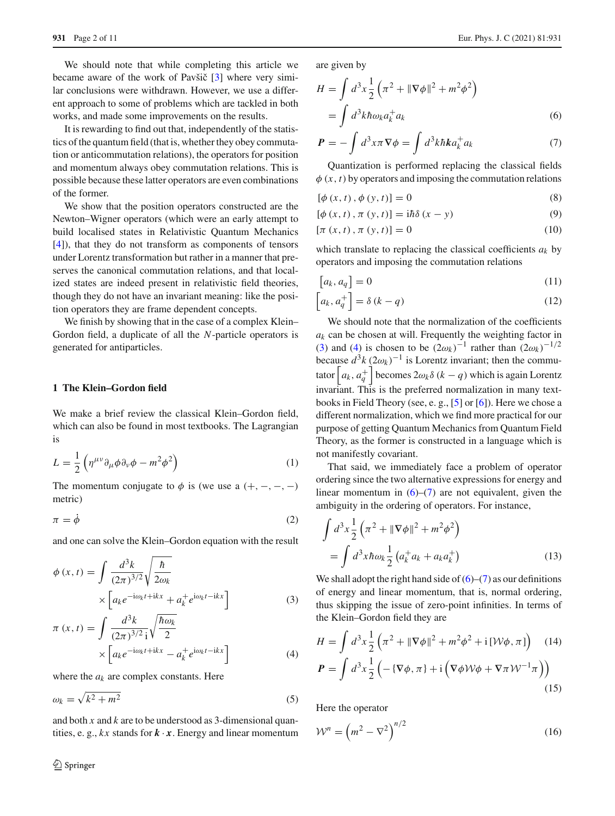We should note that while completing this article we became aware of the work of Pavšič  $[3]$  where very similar conclusions were withdrawn. However, we use a different approach to some of problems which are tackled in both works, and made some improvements on the results.

It is rewarding to find out that, independently of the statistics of the quantum field (that is, whether they obey commutation or anticommutation relations), the operators for position and momentum always obey commutation relations. This is possible because these latter operators are even combinations of the former.

We show that the position operators constructed are the Newton–Wigner operators (which were an early attempt to build localised states in Relativistic Quantum Mechanics [\[4](#page-9-3)]), that they do not transform as components of tensors under Lorentz transformation but rather in a manner that preserves the canonical commutation relations, and that localized states are indeed present in relativistic field theories, though they do not have an invariant meaning: like the position operators they are frame dependent concepts.

We finish by showing that in the case of a complex Klein– Gordon field, a duplicate of all the *N*-particle operators is generated for antiparticles.

## **1 The Klein–Gordon field**

We make a brief review the classical Klein–Gordon field, which can also be found in most textbooks. The Lagrangian is

$$
L = \frac{1}{2} \left( \eta^{\mu\nu} \partial_{\mu} \phi \partial_{\nu} \phi - m^2 \phi^2 \right)
$$
 (1)

The momentum conjugate to  $\phi$  is (we use a  $(+, -, -, -)$ ) metric)

$$
\pi = \dot{\phi} \tag{2}
$$

and one can solve the Klein–Gordon equation with the result

<span id="page-1-0"></span>
$$
\phi(x,t) = \int \frac{d^3k}{(2\pi)^{3/2}} \sqrt{\frac{\hbar}{2\omega_k}}
$$

$$
\times \left[ a_k e^{-i\omega_k t + ikx} + a_k^+ e^{i\omega_k t - ikx} \right]
$$
(3)

$$
\pi(x,t) = \int \frac{d^3k}{(2\pi)^{3/2} i} \sqrt{\frac{\hbar \omega_k}{2}} \times \left[ a_k e^{-i\omega_k t + ikx} - a_k^+ e^{i\omega_k t - ikx} \right]
$$
\n(4)

where the  $a_k$  are complex constants. Here

$$
\omega_k = \sqrt{k^2 + m^2} \tag{5}
$$

and both *x* and *k* are to be understood as 3-dimensional quantities, e. g.,  $kx$  stands for  $\mathbf{k} \cdot \mathbf{x}$ . Energy and linear momentum are given by

<span id="page-1-1"></span>
$$
H = \int d^3x \frac{1}{2} \left( \pi^2 + \|\nabla \phi\|^2 + m^2 \phi^2 \right)
$$
  
= 
$$
\int d^3k \hbar \omega_k a_k^{\dagger} a_k
$$
 (6)

$$
\boldsymbol{P} = -\int d^3x \pi \nabla \phi = \int d^3k \hbar k a_k^+ a_k \tag{7}
$$

Quantization is performed replacing the classical fields  $\phi(x, t)$  by operators and imposing the commutation relations

<span id="page-1-4"></span>
$$
[\phi(x, t), \phi(y, t)] = 0
$$
\n(8)

$$
[\phi(x, t), \pi(y, t)] = i\hbar \delta(x - y)
$$
\n(9)

$$
[\pi(x,t),\pi(y,t)]=0
$$
\n(10)

which translate to replacing the classical coefficients *ak* by operators and imposing the commutation relations

<span id="page-1-3"></span>
$$
[a_k, a_q] = 0 \tag{11}
$$

$$
\[a_k, a_q^+\] = \delta \left( k - q \right) \tag{12}
$$

We should note that the normalization of the coefficients  $a_k$  can be chosen at will. Frequently the weighting factor in [\(3\)](#page-1-0) and [\(4\)](#page-1-0) is chosen to be  $(2\omega_k)^{-1}$  rather than  $(2\omega_k)^{-1/2}$ because  $d^3k (2\omega_k)^{-1}$  is Lorentz invariant; then the commutator  $\left[a_k, a_q^+\right]$  becomes  $2\omega_k \delta$  ( $k - q$ ) which is again Lorentz invariant. This is the preferred normalization in many textbooks in Field Theory (see, e. g., [\[5\]](#page-9-4) or [\[6\]](#page-9-5)). Here we chose a different normalization, which we find more practical for our purpose of getting Quantum Mechanics from Quantum Field Theory, as the former is constructed in a language which is not manifestly covariant.

That said, we immediately face a problem of operator ordering since the two alternative expressions for energy and linear momentum in  $(6)$ – $(7)$  are not equivalent, given the ambiguity in the ordering of operators. For instance,

$$
\int d^3x \frac{1}{2} \left( \pi^2 + \|\nabla \phi\|^2 + m^2 \phi^2 \right)
$$
  
= 
$$
\int d^3x \hbar \omega_k \frac{1}{2} \left( a_k^{\dagger} a_k + a_k a_k^{\dagger} \right)
$$
 (13)

We shall adopt the right hand side of  $(6)$ – $(7)$  as our definitions of energy and linear momentum, that is, normal ordering, thus skipping the issue of zero-point infinities. In terms of the Klein–Gordon field they are

<span id="page-1-2"></span>
$$
H = \int d^3x \frac{1}{2} \left( \pi^2 + \|\nabla \phi\|^2 + m^2 \phi^2 + i \left[ \mathcal{W} \phi, \pi \right] \right) \quad (14)
$$
  

$$
P = \int d^3x \frac{1}{2} \left( -\{\nabla \phi, \pi\} + i \left( \nabla \phi \mathcal{W} \phi + \nabla \pi \mathcal{W}^{-1} \pi \right) \right) \quad (15)
$$

Here the operator

$$
\mathcal{W}^n = \left(m^2 - \nabla^2\right)^{n/2} \tag{16}
$$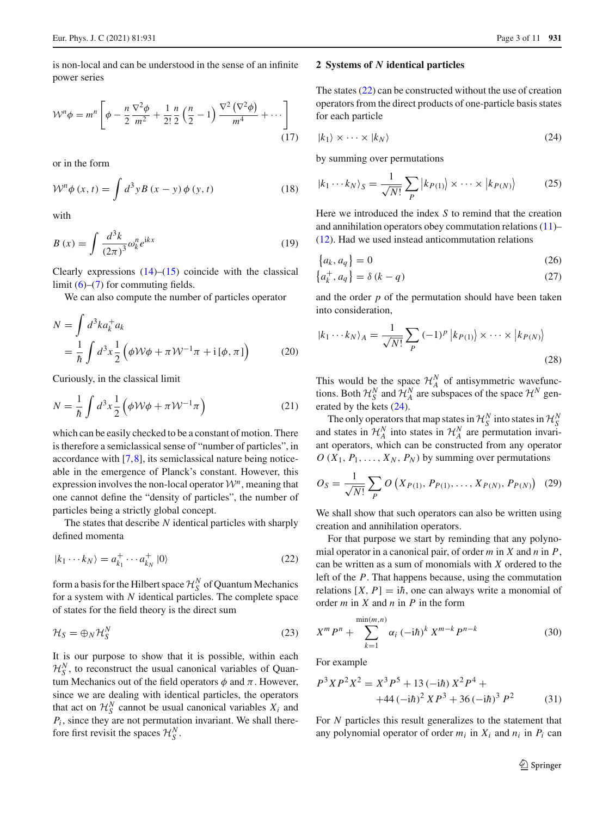is non-local and can be understood in the sense of an infinite power series

$$
\mathcal{W}^{n} \phi = m^{n} \left[ \phi - \frac{n}{2} \frac{\nabla^{2} \phi}{m^{2}} + \frac{1}{2!} \frac{n}{2} \left( \frac{n}{2} - 1 \right) \frac{\nabla^{2} (\nabla^{2} \phi)}{m^{4}} + \cdots \right]
$$
(17)

or in the form

$$
\mathcal{W}^n \phi(x, t) = \int d^3 y B(x - y) \phi(y, t)
$$
 (18)

with

$$
B(x) = \int \frac{d^3k}{(2\pi)^3} \omega_k^n e^{ikx}
$$
 (19)

Clearly expressions  $(14)$ – $(15)$  coincide with the classical limit  $(6)$ – $(7)$  for commuting fields.

We can also compute the number of particles operator

<span id="page-2-6"></span>
$$
N = \int d^3k a_k^+ a_k
$$
  
=  $\frac{1}{\hbar} \int d^3x \frac{1}{2} (\phi \mathcal{W}\phi + \pi \mathcal{W}^{-1}\pi + i[\phi, \pi])$  (20)

Curiously, in the classical limit

$$
N = \frac{1}{\hbar} \int d^3 x \frac{1}{2} \left( \phi \mathcal{W} \phi + \pi \mathcal{W}^{-1} \pi \right) \tag{21}
$$

which can be easily checked to be a constant of motion. There is therefore a semiclassical sense of "number of particles", in accordance with [\[7,](#page-9-6)[8\]](#page-9-7), its semiclassical nature being noticeable in the emergence of Planck's constant. However, this expression involves the non-local operator  $\mathcal{W}^n$ , meaning that one cannot define the "density of particles", the number of particles being a strictly global concept.

The states that describe *N* identical particles with sharply defined momenta

<span id="page-2-0"></span>
$$
|k_1 \cdots k_N\rangle = a_{k_1}^+ \cdots a_{k_N}^+ |0\rangle \tag{22}
$$

form a basis for the Hilbert space  $\mathcal{H}_S^N$  of Quantum Mechanics for a system with *N* identical particles. The complete space of states for the field theory is the direct sum

$$
\mathcal{H}_S = \bigoplus_N \mathcal{H}_S^N \tag{23}
$$

It is our purpose to show that it is possible, within each  $\mathcal{H}_S^N$ , to reconstruct the usual canonical variables of Quantum Mechanics out of the field operators  $\phi$  and  $\pi$ . However, since we are dealing with identical particles, the operators that act on  $\mathcal{H}_S^N$  cannot be usual canonical variables  $X_i$  and  $P_i$ , since they are not permutation invariant. We shall therefore first revisit the spaces  $\mathcal{H}_{S}^{N}$ .

#### <span id="page-2-4"></span>**2 Systems of** *N* **identical particles**

The states [\(22\)](#page-2-0) can be constructed without the use of creation operators from the direct products of one-particle basis states for each particle

<span id="page-2-1"></span>
$$
|k_1\rangle \times \cdots \times |k_N\rangle \tag{24}
$$

by summing over permutations

<span id="page-2-2"></span>
$$
|k_1 \cdots k_N\rangle_S = \frac{1}{\sqrt{N!}} \sum_P |k_{P(1)}\rangle \times \cdots \times |k_{P(N)}\rangle \tag{25}
$$

Here we introduced the index *S* to remind that the creation and annihilation operators obey commutation relations [\(11\)](#page-1-3)– [\(12\)](#page-1-3). Had we used instead anticommutation relations

<span id="page-2-5"></span>
$$
\{a_k, a_q\} = 0\tag{26}
$$

$$
\left\{a_k^+, a_q\right\} = \delta\left(k - q\right) \tag{27}
$$

and the order *p* of the permutation should have been taken into consideration,

<span id="page-2-3"></span>
$$
|k_1 \cdots k_N\rangle_A = \frac{1}{\sqrt{N!}} \sum_P (-1)^P |k_{P(1)}\rangle \times \cdots \times |k_{P(N)}\rangle
$$
\n(28)

This would be the space  $\mathcal{H}_{A}^{N}$  of antisymmetric wavefunctions. Both  $\mathcal{H}_S^N$  and  $\mathcal{H}_A^N$  are subspaces of the space  $\mathcal{H}^N$  generated by the kets [\(24\)](#page-2-1).

The only operators that map states in  $\mathcal{H}_{S}^{N}$  into states in  $\mathcal{H}_{S}^{N}$ Fire only operators that map states in  $\mathcal{H}_S^N$  into states in  $\mathcal{H}_A^N$  are permutation invariant operators, which can be constructed from any operator  $O(X_1, P_1, \ldots, X_N, P_N)$  by summing over permutations

$$
O_S = \frac{1}{\sqrt{N!}} \sum_{P} O\left(X_{P(1)}, P_{P(1)}, \dots, X_{P(N)}, P_{P(N)}\right) (29)
$$

We shall show that such operators can also be written using creation and annihilation operators.

For that purpose we start by reminding that any polynomial operator in a canonical pair, of order *m* in *X* and *n* in *P*, can be written as a sum of monomials with *X* ordered to the left of the *P*. That happens because, using the commutation relations  $[X, P] = i\hbar$ , one can always write a monomial of order *m* in *X* and *n* in *P* in the form

$$
X^{m} P^{n} + \sum_{k=1}^{\min(m,n)} \alpha_{i} \left(-i\hbar\right)^{k} X^{m-k} P^{n-k}
$$
 (30)

For example

$$
P^{3}XP^{2}X^{2} = X^{3}P^{5} + 13 \left(-i\hbar\right)X^{2}P^{4} ++44 \left(-i\hbar\right)^{2}XP^{3} + 36 \left(-i\hbar\right)^{3}P^{2}
$$
(31)

For *N* particles this result generalizes to the statement that any polynomial operator of order  $m_i$  in  $X_i$  and  $n_i$  in  $P_i$  can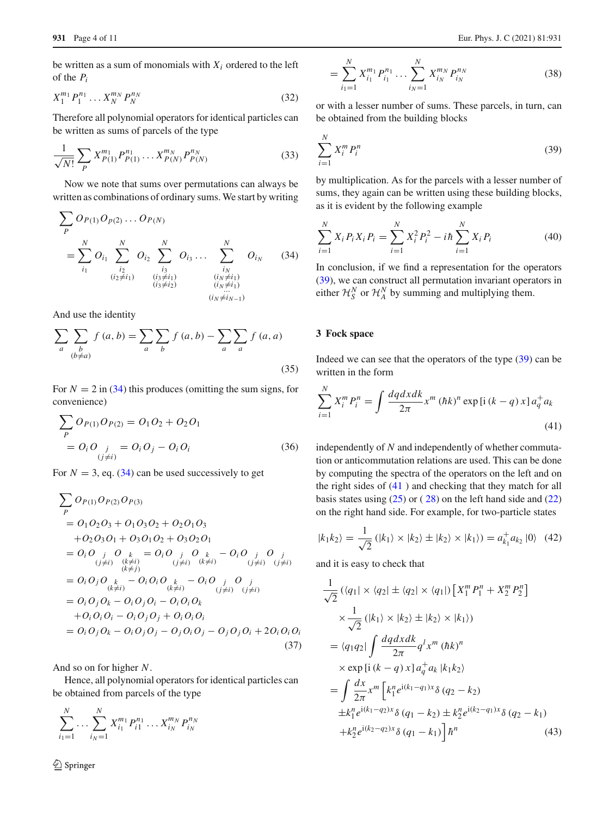be written as a sum of monomials with  $X_i$  ordered to the left of the *Pi*

$$
X_1^{m_1} P_1^{n_1} \dots X_N^{m_N} P_N^{n_N} \tag{32}
$$

Therefore all polynomial operators for identical particles can be written as sums of parcels of the type

$$
\frac{1}{\sqrt{N!}} \sum_{P} X_{P(1)}^{m_1} P_{P(1)}^{n_1} \dots X_{P(N)}^{m_N} P_{P(N)}^{n_N}
$$
(33)

Now we note that sums over permutations can always be written as combinations of ordinary sums. We start by writing

<span id="page-3-0"></span>
$$
\sum_{P} O_{P(1)} O_{P(2)} \dots O_{P(N)}
$$
\n
$$
= \sum_{i_1}^{N} O_{i_1} \sum_{\substack{i_2 \ i_2 \neq i_1}}^{N} O_{i_2} \sum_{\substack{i_3 \ i_3 \neq i_1}}^{N} O_{i_3} \dots \sum_{\substack{i_N \ i_N \neq i_1}}^{N} O_{i_N} \qquad (34)
$$
\n
$$
\sum_{\substack{i_2 \ i_3 \neq i_2}}^{N} O_{i_3 \neq i_1} \dots \sum_{\substack{i_N \neq i_1 \ i_N \neq i_1}}^{N} O_{i_N}
$$

And use the identity

$$
\sum_{a} \sum_{\substack{b \\ (b \neq a)}} f(a, b) = \sum_{a} \sum_{b} f(a, b) - \sum_{a} \sum_{a} f(a, a)
$$
\n(35)

For  $N = 2$  in [\(34\)](#page-3-0) this produces (omitting the sum signs, for convenience)

$$
\sum_{P} O_{P(1)} O_{P(2)} = O_1 O_2 + O_2 O_1
$$
  
=  $O_i O_{\substack{j \\ (j \neq i)}} = O_i O_j - O_i O_i$  (36)

For  $N = 3$ , eq. [\(34\)](#page-3-0) can be used successively to get

$$
\sum_{P} O_{P(1)} O_{P(2)} O_{P(3)}
$$
\n
$$
= O_1 O_2 O_3 + O_1 O_3 O_2 + O_2 O_1 O_3
$$
\n
$$
+ O_2 O_3 O_1 + O_3 O_1 O_2 + O_3 O_2 O_1
$$
\n
$$
= O_i O_j O_k = O_i O_j O_k - O_i O_j O_j
$$
\n
$$
\sum_{\substack{(j \neq i) \\ (k \neq j)}} \frac{(k \neq i)}{(k \neq i)} \frac{(j \neq i) (k \neq i)}{(j \neq i)} \frac{(j \neq i) (k \neq i)}{(k \neq i)} \frac{(j \neq i) (j \neq i)}{(j \neq i)}
$$
\n
$$
= O_i O_j O_k - O_i O_j O_i - O_i O_i O_k
$$
\n
$$
+ O_i O_i O_i - O_i O_j O_j + O_i O_i O_i
$$
\n
$$
= O_i O_j O_k - O_i O_j O_j - O_j O_i O_j - O_j O_j O_i + 2 O_i O_i O_i
$$
\n(37)

And so on for higher *N*.

Hence, all polynomial operators for identical particles can be obtained from parcels of the type

$$
\sum_{i_1=1}^N \ldots \sum_{i_N=1}^N X_{i_1}^{m_1} P_{i_1}^{n_1} \ldots X_{i_N}^{m_N} P_{i_N}^{n_N}
$$

$$
= \sum_{i_1=1}^{N} X_{i_1}^{m_1} P_{i_1}^{n_1} \dots \sum_{i_N=1}^{N} X_{i_N}^{m_N} P_{i_N}^{n_N}
$$
 (38)

or with a lesser number of sums. These parcels, in turn, can be obtained from the building blocks

<span id="page-3-1"></span>
$$
\sum_{i=1}^{N} X_i^m P_i^n \tag{39}
$$

by multiplication. As for the parcels with a lesser number of sums, they again can be written using these building blocks, as it is evident by the following example

$$
\sum_{i=1}^{N} X_i P_i X_i P_i = \sum_{i=1}^{N} X_i^2 P_i^2 - i\hbar \sum_{i=1}^{N} X_i P_i
$$
 (40)

In conclusion, if we find a representation for the operators [\(39\)](#page-3-1), we can construct all permutation invariant operators in either  $\mathcal{H}_S^N$  or  $\mathcal{H}_A^N$  by summing and multiplying them.

## <span id="page-3-3"></span>**3 Fock space**

Indeed we can see that the operators of the type [\(39\)](#page-3-1) can be written in the form

<span id="page-3-2"></span>
$$
\sum_{i=1}^{N} X_i^m P_i^n = \int \frac{dq dx dk}{2\pi} x^m (\hbar k)^n \exp[i (k - q) x] a_q^+ a_k
$$
\n(41)

independently of *N* and independently of whether commutation or anticommutation relations are used. This can be done by computing the spectra of the operators on the left and on the right sides of [\(41](#page-3-2) ) and checking that they match for all basis states using  $(25)$  or  $(28)$  $(28)$  on the left hand side and  $(22)$ on the right hand side. For example, for two-particle states

$$
|k_1k_2\rangle = \frac{1}{\sqrt{2}} (|k_1\rangle \times |k_2\rangle \pm |k_2\rangle \times |k_1\rangle) = a_{k_1}^+ a_{k_2} |0\rangle \quad (42)
$$

and it is easy to check that

$$
\frac{1}{\sqrt{2}} \left( \langle q_1 | \times \langle q_2 | \pm \langle q_2 | \times \langle q_1 | \rangle \left[ X_1^m P_1^n + X_2^m P_2^n \right] \right) \times \frac{1}{\sqrt{2}} \left( |k_1 \rangle \times |k_2 \rangle \pm |k_2 \rangle \times |k_1 \rangle \right)
$$
\n
$$
= \langle q_1 q_2 | \int \frac{dq \, dx \, dk}{2\pi} q^l x^m \left( \hbar k \right)^n
$$
\n
$$
\times \exp \left[ i \left( k - q \right) x \right] a_q^+ a_k \left| k_1 k_2 \right\rangle
$$
\n
$$
= \int \frac{dx}{2\pi} x^m \left[ k_1^n e^{i(k_1 - q_1)x} \delta \left( q_2 - k_2 \right) \right.
$$
\n
$$
\pm k_1^n e^{i(k_1 - q_2)x} \delta \left( q_1 - k_2 \right) \pm k_2^n e^{i(k_2 - q_1)x} \delta \left( q_2 - k_1 \right)
$$
\n
$$
+ k_2^n e^{i(k_2 - q_2)x} \delta \left( q_1 - k_1 \right) \right] \hbar^n \tag{43}
$$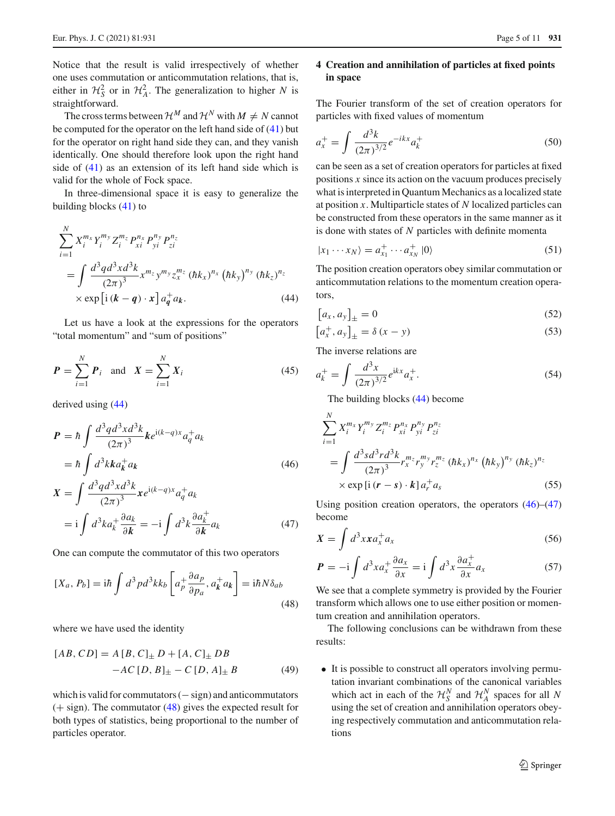Notice that the result is valid irrespectively of whether one uses commutation or anticommutation relations, that is, either in  $\mathcal{H}_{S}^2$  or in  $\mathcal{H}_{A}^2$ . The generalization to higher *N* is straightforward.

The cross terms between  $\mathcal{H}^M$  and  $\mathcal{H}^N$  with  $M \neq N$  cannot be computed for the operator on the left hand side of [\(41\)](#page-3-2) but for the operator on right hand side they can, and they vanish identically. One should therefore look upon the right hand side of [\(41\)](#page-3-2) as an extension of its left hand side which is valid for the whole of Fock space.

In three-dimensional space it is easy to generalize the building blocks [\(41\)](#page-3-2) to

<span id="page-4-0"></span>
$$
\sum_{i=1}^{N} X_{i}^{m_{x}} Y_{i}^{m_{y}} Z_{i}^{m_{z}} P_{xi}^{n_{x}} P_{yi}^{n_{y}} P_{zi}^{n_{z}}
$$
\n
$$
= \int \frac{d^{3} q d^{3} x d^{3} k}{(2\pi)^{3}} x^{m_{z}} y^{m_{y}} z_{x}^{m_{z}} (\hbar k_{x})^{n_{x}} (\hbar k_{y})^{n_{y}} (\hbar k_{z})^{n_{z}}
$$
\n
$$
\times \exp \left[ i (\mathbf{k} - \mathbf{q}) \cdot \mathbf{x} \right] a_{\mathbf{q}}^{+} a_{\mathbf{k}}.
$$
\n(44)

Let us have a look at the expressions for the operators "total momentum" and "sum of positions"

$$
P = \sum_{i=1}^{N} P_i \text{ and } X = \sum_{i=1}^{N} X_i
$$
 (45)

derived using [\(44\)](#page-4-0)

<span id="page-4-2"></span>
$$
P = \hbar \int \frac{d^3 q d^3 x d^3 k}{(2\pi)^3} k e^{i(k-q)x} a_q^+ a_k
$$
  

$$
= \hbar \int d^3 k k a_k^+ a_k
$$
 (46)

$$
X = \int \frac{d^3 q d^3 x d^3 k}{(2\pi)^3} x e^{i(k-q)x} a_q^+ a_k
$$
  
=  $i \int d^3 k a_k^+ \frac{\partial a_k}{\partial k} = -i \int d^3 k \frac{\partial a_k^+}{\partial k} a_k$  (47)

One can compute the commutator of this two operators

<span id="page-4-1"></span>
$$
[X_a, P_b] = \mathrm{i}\hbar \int d^3p d^3k k_b \left[ a_p^+ \frac{\partial a_p}{\partial p_a}, a_k^+ a_k \right] = \mathrm{i}\hbar N \delta_{ab}
$$
\n
$$
(48)
$$

where we have used the identity

$$
[AB, CD] = A [B, C]_{\pm} D + [A, C]_{\pm} DB -AC [D, B]_{\pm} - C [D, A]_{\pm} B
$$
 (49)

which is valid for commutators  $(-\text{sign})$  and anticommutators  $(+$  sign). The commutator [\(48\)](#page-4-1) gives the expected result for both types of statistics, being proportional to the number of particles operator.

# <span id="page-4-5"></span>**4 Creation and annihilation of particles at fixed points in space**

The Fourier transform of the set of creation operators for particles with fixed values of momentum

<span id="page-4-3"></span>
$$
a_x^+ = \int \frac{d^3k}{(2\pi)^{3/2}} e^{-ikx} a_k^+
$$
 (50)

can be seen as a set of creation operators for particles at fixed positions *x* since its action on the vacuum produces precisely what is interpreted in Quantum Mechanics as a localized state at position *x*. Multiparticle states of *N* localized particles can be constructed from these operators in the same manner as it is done with states of *N* particles with definite momenta

$$
|x_1 \cdots x_N\rangle = a_{x_1}^+ \cdots a_{x_N}^+ |0\rangle \tag{51}
$$

The position creation operators obey similar commutation or anticommutation relations to the momentum creation operators,

$$
[a_x, a_y]_{\pm} = 0 \tag{52}
$$

$$
\left[a_x^+, a_y\right]_{\pm} = \delta\left(x - y\right) \tag{53}
$$

The inverse relations are

<span id="page-4-4"></span>
$$
a_k^+ = \int \frac{d^3x}{(2\pi)^{3/2}} e^{ikx} a_x^+.
$$
 (54)

The building blocks [\(44\)](#page-4-0) become

$$
\sum_{i=1}^{N} X_{i}^{m_{x}} Y_{i}^{m_{y}} Z_{i}^{m_{z}} P_{xi}^{n_{x}} P_{yi}^{n_{y}} P_{zi}^{n_{z}}
$$
\n
$$
= \int \frac{d^{3} s d^{3} r d^{3} k}{(2\pi)^{3}} r_{x}^{m_{z}} r_{y}^{m_{y}} r_{z}^{m_{z}} (\hbar k_{x})^{n_{x}} (\hbar k_{y})^{n_{y}} (\hbar k_{z})^{n_{z}}
$$
\n
$$
\times \exp[i(r - s) \cdot k] a_{r}^{+} a_{s} \qquad (55)
$$

Using position creation operators, the operators  $(46)$ – $(47)$ become

$$
X = \int d^3x x a_x^+ a_x \tag{56}
$$

$$
P = -i \int d^3x a_x^+ \frac{\partial a_x}{\partial x} = i \int d^3x \frac{\partial a_x^+}{\partial x} a_x \tag{57}
$$

We see that a complete symmetry is provided by the Fourier transform which allows one to use either position or momentum creation and annihilation operators.

The following conclusions can be withdrawn from these results:

• It is possible to construct all operators involving permutation invariant combinations of the canonical variables which act in each of the  $\mathcal{H}_S^N$  and  $\mathcal{H}_A^N$  spaces for all N using the set of creation and annihilation operators obeying respectively commutation and anticommutation relations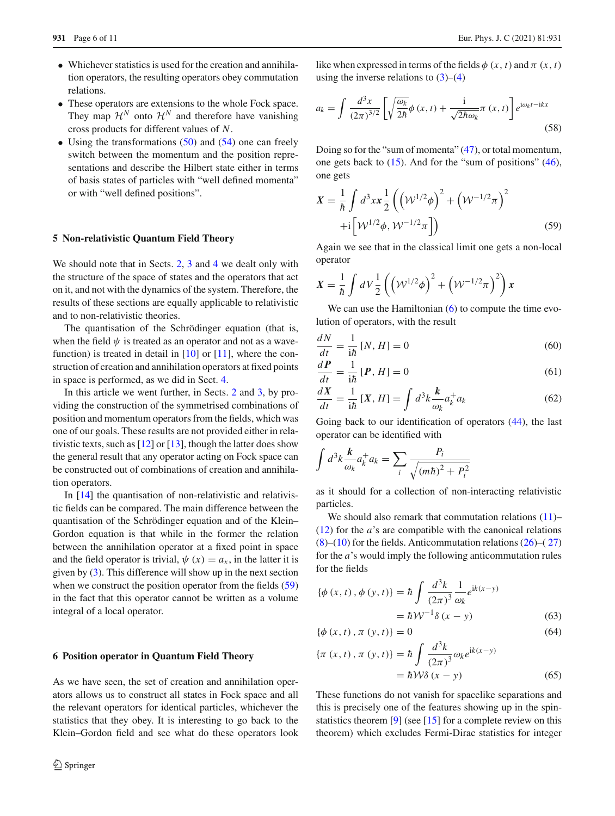- Whichever statistics is used for the creation and annihilation operators, the resulting operators obey commutation relations.
- These operators are extensions to the whole Fock space. They map  $\mathcal{H}^N$  onto  $\mathcal{H}^N$  and therefore have vanishing cross products for different values of *N*.
- Using the transformations  $(50)$  and  $(54)$  one can freely switch between the momentum and the position representations and describe the Hilbert state either in terms of basis states of particles with "well defined momenta" or with "well defined positions".

#### **5 Non-relativistic Quantum Field Theory**

We should note that in Sects. [2,](#page-2-4) [3](#page-3-3) and [4](#page-4-5) we dealt only with the structure of the space of states and the operators that act on it, and not with the dynamics of the system. Therefore, the results of these sections are equally applicable to relativistic and to non-relativistic theories.

The quantisation of the Schrödinger equation (that is, when the field  $\psi$  is treated as an operator and not as a wavefunction) is treated in detail in  $[10]$  or  $[11]$  $[11]$ , where the construction of creation and annihilation operators at fixed points in space is performed, as we did in Sect. [4.](#page-4-5)

In this article we went further, in Sects. [2](#page-2-4) and [3,](#page-3-3) by providing the construction of the symmetrised combinations of position and momentum operators from the fields, which was one of our goals. These results are not provided either in relativistic texts, such as  $[12]$  $[12]$  or  $[13]$ , though the latter does show the general result that any operator acting on Fock space can be constructed out of combinations of creation and annihilation operators.

In [\[14](#page-9-12)] the quantisation of non-relativistic and relativistic fields can be compared. The main difference between the quantisation of the Schrödinger equation and of the Klein– Gordon equation is that while in the former the relation between the annihilation operator at a fixed point in space and the field operator is trivial,  $\psi(x) = a_x$ , in the latter it is given by [\(3\)](#page-1-0). This difference will show up in the next section when we construct the position operator from the fields [\(59\)](#page-5-0) in the fact that this operator cannot be written as a volume integral of a local operator.

#### **6 Position operator in Quantum Field Theory**

As we have seen, the set of creation and annihilation operators allows us to construct all states in Fock space and all the relevant operators for identical particles, whichever the statistics that they obey. It is interesting to go back to the Klein–Gordon field and see what do these operators look

like when expressed in terms of the fields  $\phi(x, t)$  and  $\pi(x, t)$ using the inverse relations to  $(3)$ – $(4)$ 

$$
a_k = \int \frac{d^3x}{(2\pi)^{3/2}} \left[ \sqrt{\frac{\omega_k}{2\hbar}} \phi(x, t) + \frac{\mathrm{i}}{\sqrt{2\hbar \omega_k}} \pi(x, t) \right] e^{\mathrm{i}\omega_k t - \mathrm{i}kx}
$$
\n(58)

Doing so for the "sum of momenta" [\(47\)](#page-4-2), or total momentum, one gets back to [\(15\)](#page-1-2). And for the "sum of positions" [\(46\)](#page-4-2), one gets

<span id="page-5-0"></span>
$$
X = \frac{1}{\hbar} \int d^3 x x \frac{1}{2} \left( \left( \mathcal{W}^{1/2} \phi \right)^2 + \left( \mathcal{W}^{-1/2} \pi \right)^2 + i \left[ \mathcal{W}^{1/2} \phi, \mathcal{W}^{-1/2} \pi \right] \right)
$$
(59)

Again we see that in the classical limit one gets a non-local operator

$$
X = \frac{1}{\hbar} \int dV \frac{1}{2} \left( \left( \mathcal{W}^{1/2} \phi \right)^2 + \left( \mathcal{W}^{-1/2} \pi \right)^2 \right) x
$$

We can use the Hamiltonian  $(6)$  to compute the time evolution of operators, with the result

$$
\frac{dN}{dt} = \frac{1}{i\hbar} [N, H] = 0 \tag{60}
$$

$$
\frac{dP}{dt} = \frac{1}{i\hbar} [P, H] = 0 \tag{61}
$$

$$
\frac{dX}{dt} = \frac{1}{i\hbar} [X, H] = \int d^3k \frac{k}{\omega_k} a_k^+ a_k \tag{62}
$$

Going back to our identification of operators [\(44\)](#page-4-0), the last operator can be identified with

$$
\int d^3k \frac{k}{\omega_k} a_k^+ a_k = \sum_i \frac{P_i}{\sqrt{(m\hbar)^2 + P_i^2}}
$$

as it should for a collection of non-interacting relativistic particles.

We should also remark that commutation relations  $(11)$ – [\(12\)](#page-1-3) for the *a*'s are compatible with the canonical relations  $(8)$ – $(10)$  for the fields. Anticommutation relations  $(26)$ – $(27)$  $(27)$ for the *a*'s would imply the following anticommutation rules for the fields

$$
\{\phi(x,t), \phi(y,t)\} = \hbar \int \frac{d^3k}{(2\pi)^3} \frac{1}{\omega_k} e^{ik(x-y)} \n= \hbar \mathcal{W}^{-1} \delta(x-y)
$$
\n(63)

$$
\{\phi(x,t), \pi(y,t)\} = 0\tag{64}
$$

$$
\{\pi(x, t), \pi(y, t)\} = \hbar \int \frac{d^3k}{(2\pi)^3} \omega_k e^{ik(x-y)} \n= \hbar \mathcal{W}\delta(x - y)
$$
\n(65)

These functions do not vanish for spacelike separations and this is precisely one of the features showing up in the spinstatistics theorem [\[9](#page-9-13)] (see [\[15](#page-9-14)] for a complete review on this theorem) which excludes Fermi-Dirac statistics for integer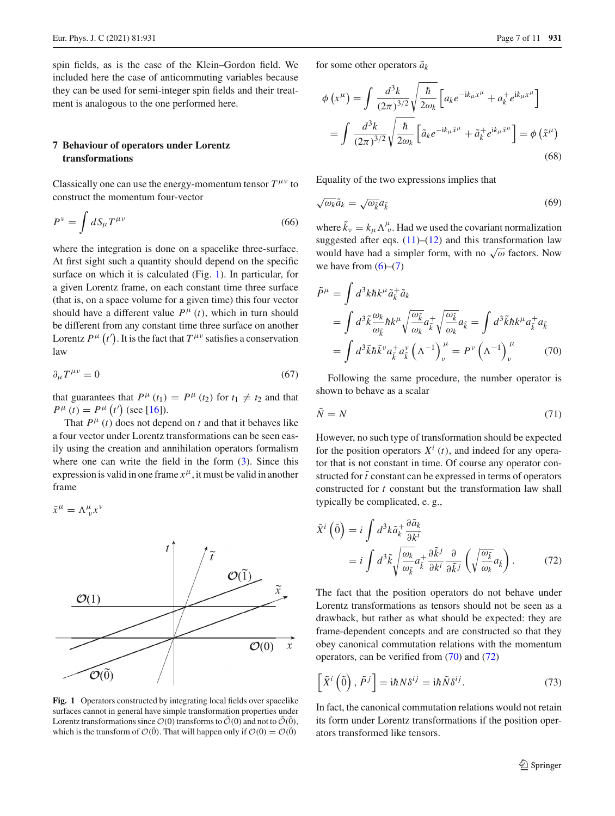spin fields, as is the case of the Klein–Gordon field. We included here the case of anticommuting variables because they can be used for semi-integer spin fields and their treatment is analogous to the one performed here.

# **7 Behaviour of operators under Lorentz transformations**

Classically one can use the energy-momentum tensor  $T^{\mu\nu}$  to construct the momentum four-vector

$$
P^{\nu} = \int dS_{\mu} T^{\mu\nu} \tag{66}
$$

where the integration is done on a spacelike three-surface. At first sight such a quantity should depend on the specific surface on which it is calculated (Fig. [1\)](#page-6-0). In particular, for a given Lorentz frame, on each constant time three surface (that is, on a space volume for a given time) this four vector should have a different value  $P^{\mu}(t)$ , which in turn should be different from any constant time three surface on another Lorentz  $P^{\mu}(t')$ . It is the fact that  $T^{\mu\nu}$  satisfies a conservation law

$$
\partial_{\mu}T^{\mu\nu} = 0 \tag{67}
$$

that guarantees that  $P^{\mu}(t_1) = P^{\mu}(t_2)$  for  $t_1 \neq t_2$  and that  $P^{\mu}(t) = P^{\mu}(t')$  (see [\[16](#page-9-15)]).

That  $P^{\mu}(t)$  does not depend on *t* and that it behaves like a four vector under Lorentz transformations can be seen easily using the creation and annihilation operators formalism where one can write the field in the form  $(3)$ . Since this expression is valid in one frame  $x^{\mu}$ , it must be valid in another frame

$$
\tilde{x}^{\mu} = \Lambda^{\mu}_{\ \nu} x^{\nu}
$$



<span id="page-6-0"></span>**Fig. 1** Operators constructed by integrating local fields over spacelike surfaces cannot in general have simple transformation properties under Lorentz transformations since  $\mathcal{O}(0)$  transforms to  $\tilde{\mathcal{O}}(0)$  and not to  $\tilde{\mathcal{O}}(\tilde{0}),$ which is the transform of  $\mathcal{O}(0)$ . That will happen only if  $\mathcal{O}(0) = \mathcal{O}(0)$ 

for some other operators  $\tilde{a}_k$ 

$$
\phi\left(x^{\mu}\right) = \int \frac{d^3k}{(2\pi)^{3/2}} \sqrt{\frac{\hbar}{2\omega_k}} \left[ a_k e^{-ik_{\mu}x^{\mu}} + a_k^+ e^{ik_{\mu}x^{\mu}} \right]
$$

$$
= \int \frac{d^3k}{(2\pi)^{3/2}} \sqrt{\frac{\hbar}{2\omega_k}} \left[ \tilde{a}_k e^{-ik_{\mu}\tilde{x}^{\mu}} + \tilde{a}_k^+ e^{ik_{\mu}\tilde{x}^{\mu}} \right] = \phi\left(\tilde{x}^{\mu}\right)
$$
(68)

Equality of the two expressions implies that

$$
\sqrt{\omega_k}\tilde{a}_k = \sqrt{\omega_{\tilde{k}}}\tilde{a}_{\tilde{k}}
$$
\n(69)

where  $\tilde{k}_v = k_\mu \Lambda^\mu_v$ . Had we used the covariant normalization suggested after eqs.  $(11)$ – $(12)$  and this transformation law would have had a simpler form, with no  $\sqrt{\omega}$  factors. Now we have from  $(6)-(7)$  $(6)-(7)$  $(6)-(7)$ 

<span id="page-6-1"></span>
$$
\tilde{P}^{\mu} = \int d^{3}k \hbar k^{\mu} \tilde{a}_{k}^{\dagger} \tilde{a}_{k}
$$
\n
$$
= \int d^{3}k \frac{\omega_{k}}{\omega_{\tilde{k}}} \hbar k^{\mu} \sqrt{\frac{\omega_{\tilde{k}}}{\omega_{k}}} a_{\tilde{k}}^{\dagger} \sqrt{\frac{\omega_{\tilde{k}}}{\omega_{k}}} a_{\tilde{k}} = \int d^{3}k \hbar k^{\mu} a_{\tilde{k}}^{\dagger} a_{\tilde{k}}
$$
\n
$$
= \int d^{3}k \tilde{h} \tilde{k}^{\nu} a_{\tilde{k}}^{\dagger} a_{\tilde{k}}^{\nu} \left(\Lambda^{-1}\right)^{\mu}_{\nu} = P^{\nu} \left(\Lambda^{-1}\right)^{\mu}_{\nu} \qquad (70)
$$

Following the same procedure, the number operator is shown to behave as a scalar

$$
\tilde{N} = N \tag{71}
$$

However, no such type of transformation should be expected for the position operators  $X^i$  (*t*), and indeed for any operator that is not constant in time. Of course any operator constructed for  $\tilde{t}$  constant can be expressed in terms of operators constructed for *t* constant but the transformation law shall typically be complicated, e. g.,

<span id="page-6-2"></span>
$$
\tilde{X}^{i} \left( \tilde{0} \right) = i \int d^{3}k \tilde{a}_{k}^{+} \frac{\partial \tilde{a}_{k}}{\partial k^{i}} \n= i \int d^{3} \tilde{k} \sqrt{\frac{\omega_{k}}{\omega_{\tilde{k}}}} a_{\tilde{k}}^{+} \frac{\partial \tilde{k}^{j}}{\partial k^{i}} \frac{\partial}{\partial \tilde{k}^{j}} \left( \sqrt{\frac{\omega_{\tilde{k}}}{\omega_{k}}} a_{\tilde{k}} \right).
$$
\n(72)

The fact that the position operators do not behave under Lorentz transformations as tensors should not be seen as a drawback, but rather as what should be expected: they are frame-dependent concepts and are constructed so that they obey canonical commutation relations with the momentum operators, can be verified from [\(70\)](#page-6-1) and [\(72\)](#page-6-2)

$$
\left[\tilde{X}^i\left(\tilde{0}\right),\tilde{P}^j\right] = i\hbar N\delta^{ij} = i\hbar \tilde{N}\delta^{ij}.
$$
\n(73)

In fact, the canonical commutation relations would not retain its form under Lorentz transformations if the position operators transformed like tensors.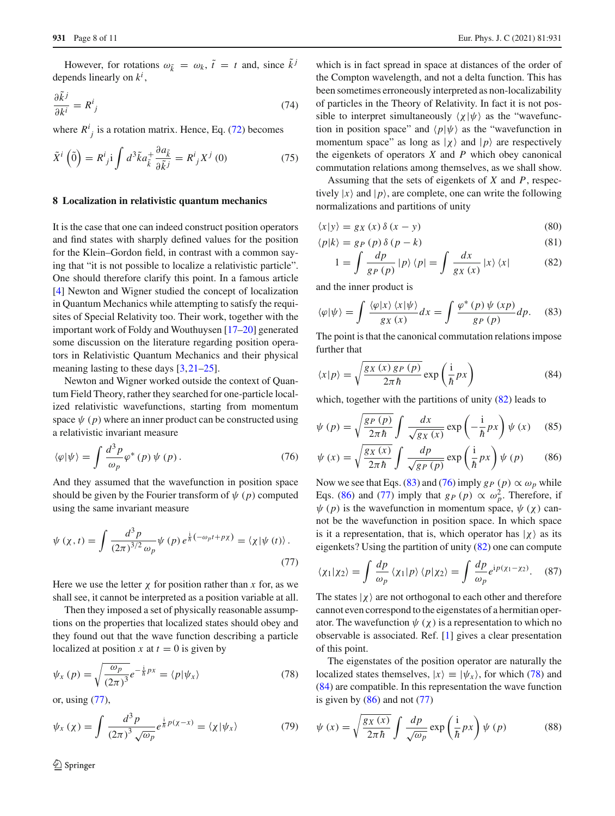However, for rotations  $\omega_{\tilde{k}} = \omega_k$ ,  $\tilde{t} = t$  and, since  $\tilde{k}^j$ depends linearly on *k<sup>i</sup>* ,

$$
\frac{\partial \tilde{k}^j}{\partial k^i} = R^i_{\ j} \tag{74}
$$

where  $R^i_j$  is a rotation matrix. Hence, Eq. [\(72\)](#page-6-2) becomes

$$
\tilde{X}^i\left(\tilde{0}\right) = R^i_{\ j} \mathbf{i} \int d^3 \tilde{k} a_{\tilde{k}}^+ \frac{\partial a_{\tilde{k}}}{\partial \tilde{k}^j} = R^i_{\ j} X^j\left(0\right) \tag{75}
$$

# **8 Localization in relativistic quantum mechanics**

It is the case that one can indeed construct position operators and find states with sharply defined values for the position for the Klein–Gordon field, in contrast with a common saying that "it is not possible to localize a relativistic particle". One should therefore clarify this point. In a famous article [\[4](#page-9-3)] Newton and Wigner studied the concept of localization in Quantum Mechanics while attempting to satisfy the requisites of Special Relativity too. Their work, together with the important work of Foldy and Wouthuysen [\[17](#page-9-16)[–20](#page-9-17)] generated some discussion on the literature regarding position operators in Relativistic Quantum Mechanics and their physical meaning lasting to these days [\[3](#page-9-2)[,21](#page-9-18)[–25](#page-10-0)].

Newton and Wigner worked outside the context of Quantum Field Theory, rather they searched for one-particle localized relativistic wavefunctions, starting from momentum space  $\psi$  ( $p$ ) where an inner product can be constructed using a relativistic invariant measure

<span id="page-7-3"></span>
$$
\langle \varphi | \psi \rangle = \int \frac{d^3 p}{\omega_p} \varphi^* (p) \psi (p). \tag{76}
$$

And they assumed that the wavefunction in position space should be given by the Fourier transform of  $\psi$  ( $p$ ) computed using the same invariant measure

<span id="page-7-0"></span>
$$
\psi(\chi, t) = \int \frac{d^3 p}{(2\pi)^{3/2} \omega_p} \psi(p) e^{\frac{i}{\hbar}(-\omega_p t + p\chi)} = \langle \chi | \psi(t) \rangle.
$$
\n(77)

Here we use the letter  $\chi$  for position rather than  $x$  for, as we shall see, it cannot be interpreted as a position variable at all.

Then they imposed a set of physically reasonable assumptions on the properties that localized states should obey and they found out that the wave function describing a particle localized at position *x* at  $t = 0$  is given by

<span id="page-7-5"></span>
$$
\psi_x(p) = \sqrt{\frac{\omega_p}{(2\pi)^3}} e^{-\frac{i}{\hbar}px} = \langle p|\psi_x\rangle \tag{78}
$$

or, using [\(77\)](#page-7-0),

$$
\psi_x(\chi) = \int \frac{d^3 p}{(2\pi)^3 \sqrt{\omega_p}} e^{\frac{i}{\hbar} p(\chi - x)} = \langle \chi | \psi_x \rangle \tag{79}
$$

which is in fact spread in space at distances of the order of the Compton wavelength, and not a delta function. This has been sometimes erroneously interpreted as non-localizability of particles in the Theory of Relativity. In fact it is not possible to interpret simultaneously  $\langle \chi | \psi \rangle$  as the "wavefunction in position space" and  $\langle p|\psi\rangle$  as the "wavefunction in momentum space" as long as  $|\chi\rangle$  and  $|p\rangle$  are respectively the eigenkets of operators *X* and *P* which obey canonical commutation relations among themselves, as we shall show.

Assuming that the sets of eigenkets of *X* and *P*, respectively  $|x\rangle$  and  $|p\rangle$ , are complete, one can write the following normalizations and partitions of unity

<span id="page-7-1"></span>
$$
\langle x|y\rangle = g_X(x)\,\delta\,(x-y) \tag{80}
$$

$$
\langle p|k\rangle = g_P(p)\,\delta\,(p-k) \tag{81}
$$

$$
1 = \int \frac{dp}{g_P(p)} \, |p\rangle \, \langle p| = \int \frac{dx}{g_X(x)} \, |x\rangle \, \langle x| \tag{82}
$$

and the inner product is

<span id="page-7-2"></span>
$$
\langle \varphi | \psi \rangle = \int \frac{\langle \varphi | x \rangle \langle x | \psi \rangle}{g_X(x)} dx = \int \frac{\varphi^* \left( p \right) \psi \left( xp \right)}{g_P \left( p \right)} dp. \tag{83}
$$

The point is that the canonical commutation relations impose further that

<span id="page-7-6"></span>
$$
\langle x|p\rangle = \sqrt{\frac{g_X(x)g_P(p)}{2\pi\hbar}} \exp\left(\frac{i}{\hbar}px\right)
$$
 (84)

which, together with the partitions of unity  $(82)$  leads to

<span id="page-7-4"></span>
$$
\psi(p) = \sqrt{\frac{g_P(p)}{2\pi\hbar}} \int \frac{dx}{\sqrt{g_X(x)}} \exp\left(-\frac{i}{\hbar}px\right) \psi(x) \quad (85)
$$

$$
\psi(x) = \sqrt{\frac{g_X(x)}{2\pi\hbar}} \int \frac{dp}{\sqrt{g_P(p)}} \exp\left(\frac{i}{\hbar} px\right) \psi(p) \qquad (86)
$$

Now we see that Eqs. [\(83\)](#page-7-2) and [\(76\)](#page-7-3) imply  $g_P(p) \propto \omega_p$  while Eqs. [\(86\)](#page-7-4) and [\(77\)](#page-7-0) imply that  $g_P(p) \propto \omega_p^2$ . Therefore, if  $\psi(p)$  is the wavefunction in momentum space,  $\psi(\chi)$  cannot be the wavefunction in position space. In which space is it a representation, that is, which operator has  $|\chi\rangle$  as its eigenkets? Using the partition of unity [\(82\)](#page-7-1) one can compute

$$
\langle \chi_1 | \chi_2 \rangle = \int \frac{dp}{\omega_p} \langle \chi_1 | p \rangle \langle p | \chi_2 \rangle = \int \frac{dp}{\omega_p} e^{ip(\chi_1 - \chi_2)}.
$$
 (87)

The states  $|\chi\rangle$  are not orthogonal to each other and therefore cannot even correspond to the eigenstates of a hermitian operator. The wavefunction  $\psi(\chi)$  is a representation to which no observable is associated. Ref. [\[1](#page-9-0)] gives a clear presentation of this point.

The eigenstates of the position operator are naturally the localized states themselves,  $|x\rangle \equiv |\psi_x\rangle$ , for which [\(78\)](#page-7-5) and [\(84\)](#page-7-6) are compatible. In this representation the wave function is given by  $(86)$  and not  $(77)$ 

<span id="page-7-7"></span>
$$
\psi(x) = \sqrt{\frac{g_X(x)}{2\pi\hbar}} \int \frac{dp}{\sqrt{\omega_p}} \exp\left(\frac{i}{\hbar} px\right) \psi(p) \tag{88}
$$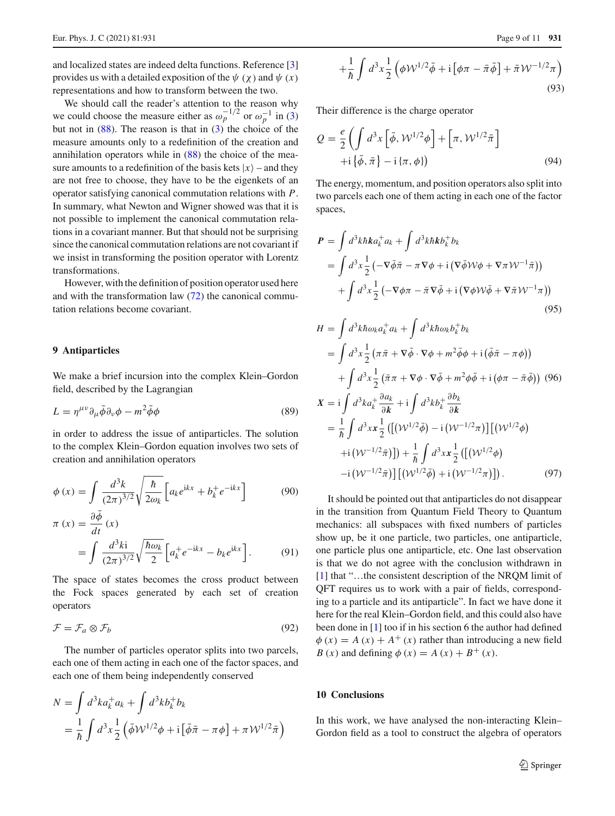and localized states are indeed delta functions. Reference [\[3\]](#page-9-2) provides us with a detailed exposition of the  $\psi$  ( $\chi$ ) and  $\psi$  ( $x$ ) representations and how to transform between the two.

We should call the reader's attention to the reason why we could choose the measure either as  $\omega_p^{-1/2}$  or  $\omega_p^{-1}$  in [\(3\)](#page-1-0) but not in  $(88)$ . The reason is that in  $(3)$  the choice of the measure amounts only to a redefinition of the creation and annihilation operators while in [\(88\)](#page-7-7) the choice of the measure amounts to a redefinition of the basis kets  $|x\rangle$  – and they are not free to choose, they have to be the eigenkets of an operator satisfying canonical commutation relations with *P*. In summary, what Newton and Wigner showed was that it is not possible to implement the canonical commutation relations in a covariant manner. But that should not be surprising since the canonical commutation relations are not covariant if we insist in transforming the position operator with Lorentz transformations.

However, with the definition of position operator used here and with the transformation law [\(72\)](#page-6-2) the canonical commutation relations become covariant.

# **9 Antiparticles**

We make a brief incursion into the complex Klein–Gordon field, described by the Lagrangian

$$
L = \eta^{\mu\nu} \partial_{\mu} \bar{\phi} \partial_{\nu} \phi - m^2 \bar{\phi} \phi \tag{89}
$$

in order to address the issue of antiparticles. The solution to the complex Klein–Gordon equation involves two sets of creation and annihilation operators

$$
\phi(x) = \int \frac{d^3k}{(2\pi)^{3/2}} \sqrt{\frac{\hbar}{2\omega_k}} \left[ a_k e^{ikx} + b_k^+ e^{-ikx} \right] \tag{90}
$$

$$
\pi(x) = \frac{\partial \phi}{\partial t}(x)
$$
  
= 
$$
\int \frac{d^3 k i}{(2\pi)^{3/2}} \sqrt{\frac{\hbar \omega_k}{2}} \left[ a_k^+ e^{-ikx} - b_k e^{ikx} \right].
$$
 (91)

The space of states becomes the cross product between the Fock spaces generated by each set of creation operators

$$
\mathcal{F} = \mathcal{F}_a \otimes \mathcal{F}_b \tag{92}
$$

The number of particles operator splits into two parcels, each one of them acting in each one of the factor spaces, and each one of them being independently conserved

$$
N = \int d^3k a_k^+ a_k + \int d^3k b_k^+ b_k
$$
  
=  $\frac{1}{\hbar} \int d^3x \frac{1}{2} (\bar{\phi} \mathcal{W}^{1/2} \phi + i [\bar{\phi} \bar{\pi} - \pi \phi] + \pi \mathcal{W}^{1/2} \bar{\pi})$ 

$$
+\frac{1}{\hbar}\int d^3x \frac{1}{2} \left(\phi \mathcal{W}^{1/2}\bar{\phi} + i\left[\phi \pi - \bar{\pi}\bar{\phi}\right] + \bar{\pi}\mathcal{W}^{-1/2}\pi\right)
$$
\n(93)

Their difference is the charge operator

$$
Q = \frac{e}{2} \left( \int d^3x \left[ \bar{\phi}, \mathcal{W}^{1/2} \phi \right] + \left[ \pi, \mathcal{W}^{1/2} \bar{\pi} \right] + i \left\{ \bar{\phi}, \bar{\pi} \right\} - i \left\{ \pi, \phi \right\} \right) \tag{94}
$$

The energy, momentum, and position operators also split into two parcels each one of them acting in each one of the factor spaces,

$$
\mathbf{P} = \int d^3k \hbar k a_k^+ a_k + \int d^3k \hbar k b_k^+ b_k
$$
  
= 
$$
\int d^3x \frac{1}{2} \left( -\nabla \bar{\phi} \bar{\pi} - \pi \nabla \phi + i \left( \nabla \bar{\phi} \mathcal{W} \phi + \nabla \pi \mathcal{W}^{-1} \bar{\pi} \right) \right)
$$
  
+ 
$$
\int d^3x \frac{1}{2} \left( -\nabla \phi \pi - \bar{\pi} \nabla \bar{\phi} + i \left( \nabla \phi \mathcal{W} \bar{\phi} + \nabla \bar{\pi} \mathcal{W}^{-1} \pi \right) \right)
$$
(95)

$$
H = \int d^3k \hbar \omega_k a_k^+ a_k + \int d^3k \hbar \omega_k b_k^+ b_k
$$
  
=  $\int d^3x \frac{1}{2} (\pi \bar{\pi} + \nabla \bar{\phi} \cdot \nabla \phi + m^2 \bar{\phi} \phi + i (\bar{\phi} \bar{\pi} - \pi \phi))$   
+  $\int d^3x \frac{1}{2} (\bar{\pi} \pi + \nabla \phi \cdot \nabla \bar{\phi} + m^2 \phi \bar{\phi} + i (\phi \pi - \bar{\pi} \bar{\phi}))$  (96)  

$$
X = i \int d^3k a_k^+ \frac{\partial a_k}{\partial k} + i \int d^3k b_k^+ \frac{\partial b_k}{\partial k}
$$
  
=  $\frac{1}{\hbar} \int d^3x x \frac{1}{2} ([(\mathcal{W}^{1/2} \bar{\phi}) - i (\mathcal{W}^{-1/2} \pi)][(\mathcal{W}^{1/2} \phi)$   
+  $i (\mathcal{W}^{-1/2} \bar{\pi})]) + \frac{1}{\hbar} \int d^3x x \frac{1}{2} ([(\mathcal{W}^{1/2} \phi)$   
-  $i (\mathcal{W}^{-1/2} \bar{\pi})][(\mathcal{W}^{1/2} \bar{\phi}) + i (\mathcal{W}^{-1/2} \pi)]).$  (97)

It should be pointed out that antiparticles do not disappear in the transition from Quantum Field Theory to Quantum mechanics: all subspaces with fixed numbers of particles show up, be it one particle, two particles, one antiparticle, one particle plus one antiparticle, etc. One last observation is that we do not agree with the conclusion withdrawn in [\[1](#page-9-0)] that "…the consistent description of the NRQM limit of QFT requires us to work with a pair of fields, corresponding to a particle and its antiparticle". In fact we have done it here for the real Klein–Gordon field, and this could also have been done in [\[1\]](#page-9-0) too if in his section 6 the author had defined  $\phi(x) = A(x) + A^{+}(x)$  rather than introducing a new field *B* (*x*) and defining  $\phi(x) = A(x) + B^{+}(x)$ .

# **10 Conclusions**

In this work, we have analysed the non-interacting Klein– Gordon field as a tool to construct the algebra of operators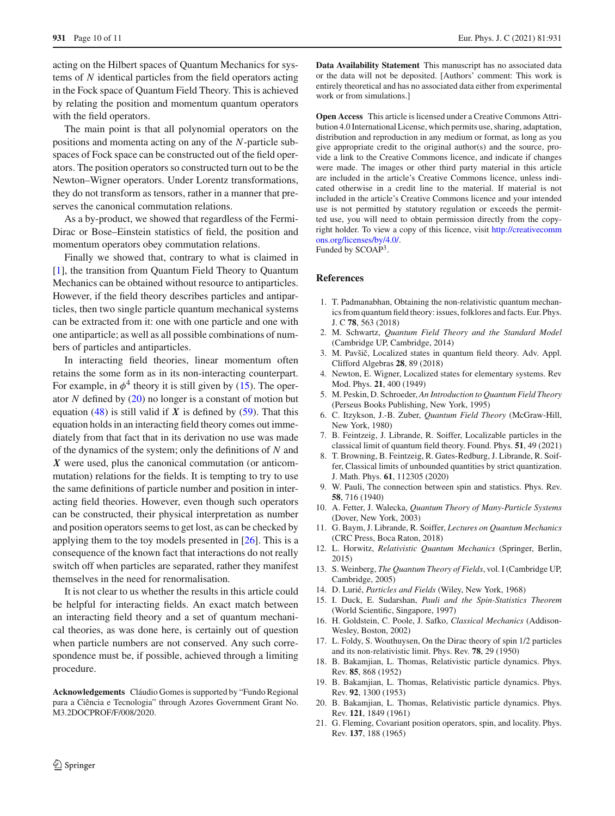acting on the Hilbert spaces of Quantum Mechanics for systems of *N* identical particles from the field operators acting in the Fock space of Quantum Field Theory. This is achieved by relating the position and momentum quantum operators with the field operators.

The main point is that all polynomial operators on the positions and momenta acting on any of the *N*-particle subspaces of Fock space can be constructed out of the field operators. The position operators so constructed turn out to be the Newton–Wigner operators. Under Lorentz transformations, they do not transform as tensors, rather in a manner that preserves the canonical commutation relations.

As a by-product, we showed that regardless of the Fermi-Dirac or Bose–Einstein statistics of field, the position and momentum operators obey commutation relations.

Finally we showed that, contrary to what is claimed in [\[1](#page-9-0)], the transition from Quantum Field Theory to Quantum Mechanics can be obtained without resource to antiparticles. However, if the field theory describes particles and antiparticles, then two single particle quantum mechanical systems can be extracted from it: one with one particle and one with one antiparticle; as well as all possible combinations of numbers of particles and antiparticles.

In interacting field theories, linear momentum often retains the some form as in its non-interacting counterpart. For example, in  $\phi^4$  theory it is still given by [\(15\)](#page-1-2). The operator *N* defined by [\(20\)](#page-2-6) no longer is a constant of motion but equation [\(48\)](#page-4-1) is still valid if  $X$  is defined by [\(59\)](#page-5-0). That this equation holds in an interacting field theory comes out immediately from that fact that in its derivation no use was made of the dynamics of the system; only the definitions of *N* and *X* were used, plus the canonical commutation (or anticommutation) relations for the fields. It is tempting to try to use the same definitions of particle number and position in interacting field theories. However, even though such operators can be constructed, their physical interpretation as number and position operators seems to get lost, as can be checked by applying them to the toy models presented in [\[26\]](#page-10-1). This is a consequence of the known fact that interactions do not really switch off when particles are separated, rather they manifest themselves in the need for renormalisation.

It is not clear to us whether the results in this article could be helpful for interacting fields. An exact match between an interacting field theory and a set of quantum mechanical theories, as was done here, is certainly out of question when particle numbers are not conserved. Any such correspondence must be, if possible, achieved through a limiting procedure.

**Acknowledgements** Cláudio Gomes is supported by "Fundo Regional para a Ciência e Tecnologia" through Azores Government Grant No. M3.2DOCPROF/F/008/2020.

**Data Availability Statement** This manuscript has no associated data or the data will not be deposited. [Authors' comment: This work is entirely theoretical and has no associated data either from experimental work or from simulations.]

**Open Access** This article is licensed under a Creative Commons Attribution 4.0 International License, which permits use, sharing, adaptation, distribution and reproduction in any medium or format, as long as you give appropriate credit to the original author(s) and the source, provide a link to the Creative Commons licence, and indicate if changes were made. The images or other third party material in this article are included in the article's Creative Commons licence, unless indicated otherwise in a credit line to the material. If material is not included in the article's Creative Commons licence and your intended use is not permitted by statutory regulation or exceeds the permitted use, you will need to obtain permission directly from the copyright holder. To view a copy of this licence, visit [http://creativecomm](http://creativecommons.org/licenses/by/4.0/) [ons.org/licenses/by/4.0/.](http://creativecommons.org/licenses/by/4.0/)

Funded by SCOAP3.

#### **References**

- <span id="page-9-0"></span>1. T. Padmanabhan, Obtaining the non-relativistic quantum mechanics from quantum field theory: issues, folklores and facts. Eur. Phys. J. C **78**, 563 (2018)
- <span id="page-9-1"></span>2. M. Schwartz, *Quantum Field Theory and the Standard Model* (Cambridge UP, Cambridge, 2014)
- <span id="page-9-2"></span>3. M. Pavšič, Localized states in quantum field theory. Adv. Appl. Clifford Algebras **28**, 89 (2018)
- <span id="page-9-3"></span>4. Newton, E. Wigner, Localized states for elementary systems. Rev Mod. Phys. **21**, 400 (1949)
- <span id="page-9-4"></span>5. M. Peskin, D. Schroeder, *An Introduction to Quantum Field Theory* (Perseus Books Publishing, New York, 1995)
- <span id="page-9-5"></span>6. C. Itzykson, J.-B. Zuber, *Quantum Field Theory* (McGraw-Hill, New York, 1980)
- <span id="page-9-6"></span>7. B. Feintzeig, J. Librande, R. Soiffer, Localizable particles in the classical limit of quantum field theory. Found. Phys. **51**, 49 (2021)
- <span id="page-9-7"></span>8. T. Browning, B. Feintzeig, R. Gates-Redburg, J. Librande, R. Soiffer, Classical limits of unbounded quantities by strict quantization. J. Math. Phys. **61**, 112305 (2020)
- <span id="page-9-13"></span>9. W. Pauli, The connection between spin and statistics. Phys. Rev. **58**, 716 (1940)
- <span id="page-9-8"></span>10. A. Fetter, J. Walecka, *Quantum Theory of Many-Particle Systems* (Dover, New York, 2003)
- <span id="page-9-9"></span>11. G. Baym, J. Librande, R. Soiffer, *Lectures on Quantum Mechanics* (CRC Press, Boca Raton, 2018)
- <span id="page-9-10"></span>12. L. Horwitz, *Relativistic Quantum Mechanics* (Springer, Berlin, 2015)
- <span id="page-9-11"></span>13. S. Weinberg, *The Quantum Theory of Fields*, vol. I (Cambridge UP, Cambridge, 2005)
- <span id="page-9-12"></span>14. D. Lurié, *Particles and Fields* (Wiley, New York, 1968)
- <span id="page-9-14"></span>15. I. Duck, E. Sudarshan, *Pauli and the Spin-Statistics Theorem* (World Scientific, Singapore, 1997)
- <span id="page-9-15"></span>16. H. Goldstein, C. Poole, J. Safko, *Classical Mechanics* (Addison-Wesley, Boston, 2002)
- <span id="page-9-16"></span>17. L. Foldy, S. Wouthuysen, On the Dirac theory of spin 1/2 particles and its non-relativistic limit. Phys. Rev. **78**, 29 (1950)
- 18. B. Bakamjian, L. Thomas, Relativistic particle dynamics. Phys. Rev. **85**, 868 (1952)
- 19. B. Bakamjian, L. Thomas, Relativistic particle dynamics. Phys. Rev. **92**, 1300 (1953)
- <span id="page-9-17"></span>20. B. Bakamjian, L. Thomas, Relativistic particle dynamics. Phys. Rev. **121**, 1849 (1961)
- <span id="page-9-18"></span>21. G. Fleming, Covariant position operators, spin, and locality. Phys. Rev. **137**, 188 (1965)